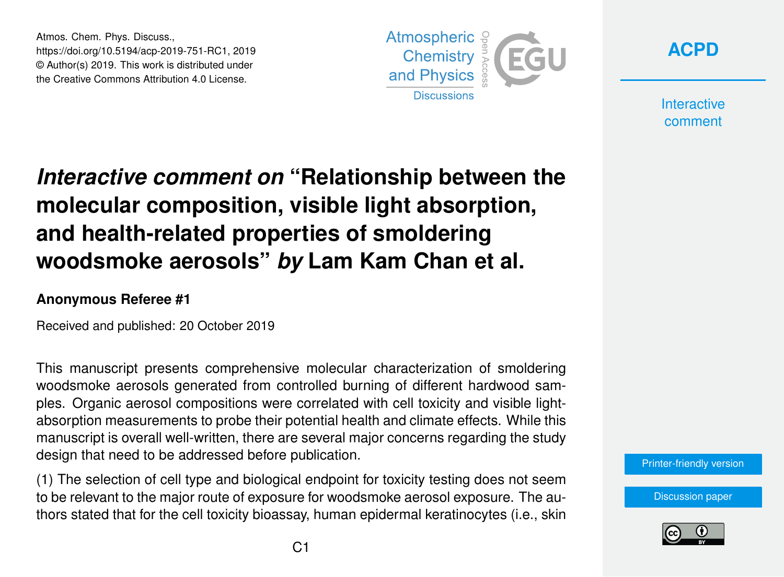Atmos. Chem. Phys. Discuss., https://doi.org/10.5194/acp-2019-751-RC1, 2019 © Author(s) 2019. This work is distributed under the Creative Commons Attribution 4.0 License.





**Interactive** comment

## *Interactive comment on* **"Relationship between the molecular composition, visible light absorption, and health-related properties of smoldering woodsmoke aerosols"** *by* **Lam Kam Chan et al.**

## **Anonymous Referee #1**

Received and published: 20 October 2019

This manuscript presents comprehensive molecular characterization of smoldering woodsmoke aerosols generated from controlled burning of different hardwood samples. Organic aerosol compositions were correlated with cell toxicity and visible lightabsorption measurements to probe their potential health and climate effects. While this manuscript is overall well-written, there are several major concerns regarding the study design that need to be addressed before publication.

(1) The selection of cell type and biological endpoint for toxicity testing does not seem to be relevant to the major route of exposure for woodsmoke aerosol exposure. The authors stated that for the cell toxicity bioassay, human epidermal keratinocytes (i.e., skin



[Discussion paper](https://www.atmos-chem-phys-discuss.net/acp-2019-751)

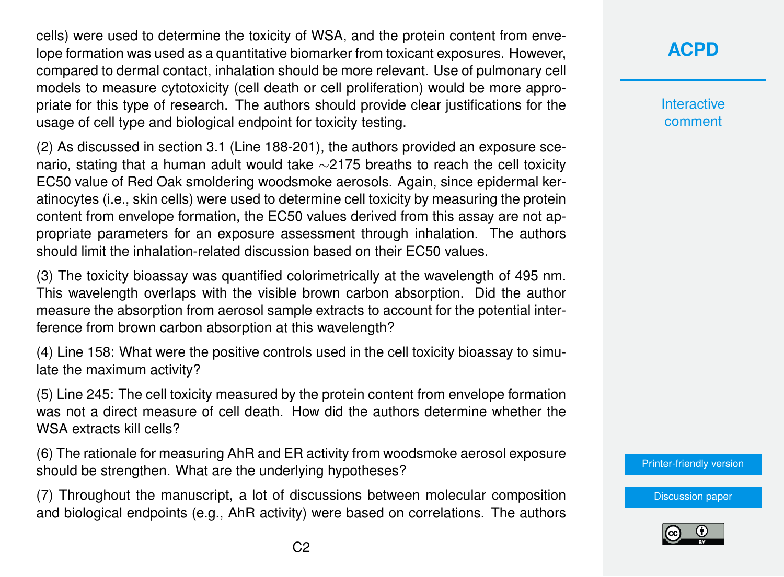cells) were used to determine the toxicity of WSA, and the protein content from envelope formation was used as a quantitative biomarker from toxicant exposures. However, compared to dermal contact, inhalation should be more relevant. Use of pulmonary cell models to measure cytotoxicity (cell death or cell proliferation) would be more appropriate for this type of research. The authors should provide clear justifications for the usage of cell type and biological endpoint for toxicity testing.

(2) As discussed in section 3.1 (Line 188-201), the authors provided an exposure scenario, stating that a human adult would take ∼2175 breaths to reach the cell toxicity EC50 value of Red Oak smoldering woodsmoke aerosols. Again, since epidermal keratinocytes (i.e., skin cells) were used to determine cell toxicity by measuring the protein content from envelope formation, the EC50 values derived from this assay are not appropriate parameters for an exposure assessment through inhalation. The authors should limit the inhalation-related discussion based on their EC50 values.

(3) The toxicity bioassay was quantified colorimetrically at the wavelength of 495 nm. This wavelength overlaps with the visible brown carbon absorption. Did the author measure the absorption from aerosol sample extracts to account for the potential interference from brown carbon absorption at this wavelength?

(4) Line 158: What were the positive controls used in the cell toxicity bioassay to simulate the maximum activity?

(5) Line 245: The cell toxicity measured by the protein content from envelope formation was not a direct measure of cell death. How did the authors determine whether the WSA extracts kill cells?

(6) The rationale for measuring AhR and ER activity from woodsmoke aerosol exposure should be strengthen. What are the underlying hypotheses?

(7) Throughout the manuscript, a lot of discussions between molecular composition and biological endpoints (e.g., AhR activity) were based on correlations. The authors

## **[ACPD](https://www.atmos-chem-phys-discuss.net/)**

**Interactive** comment

[Printer-friendly version](https://www.atmos-chem-phys-discuss.net/acp-2019-751/acp-2019-751-RC1-print.pdf)

[Discussion paper](https://www.atmos-chem-phys-discuss.net/acp-2019-751)